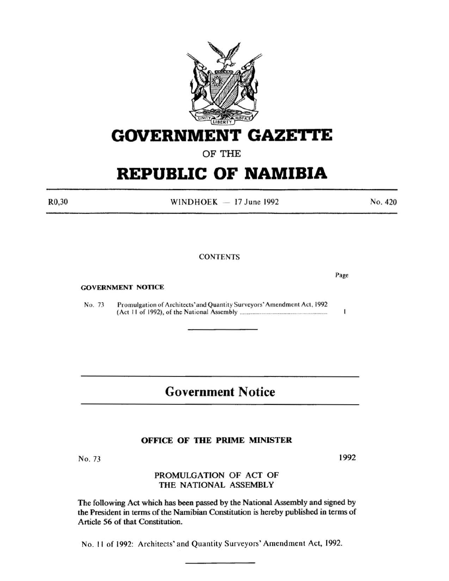

## **GOVERNMENT GAZETTE**

OF THE

# **REPUBLIC OF NAMIBIA**

R0,30

WINDHOEK  $-17$  June 1992

**CONTENTS** 

GOVERNMENT NOTICE

No. 7J Promulgation of Architects' and Quantity Surveyors' Amendment Act, 1992 (Act I I of 1992), of the National Assembly ............................................................ .

## Government Notice

#### OFFICE OF THE PRIME MINISTER

No. 73

#### PROMULGATION OF ACT OF THE NATIONAL ASSEMBLY

The following Act which has been passed by the National Assembly and signed by the President in terms of the Namibian Constitution is hereby published in terms of Article 56 of that Constitution.

No. II of 1992: Architects' and Quantity Surveyors' Amendment Act, 1992.

Page

 $\bf{l}$ 

No. 420

1992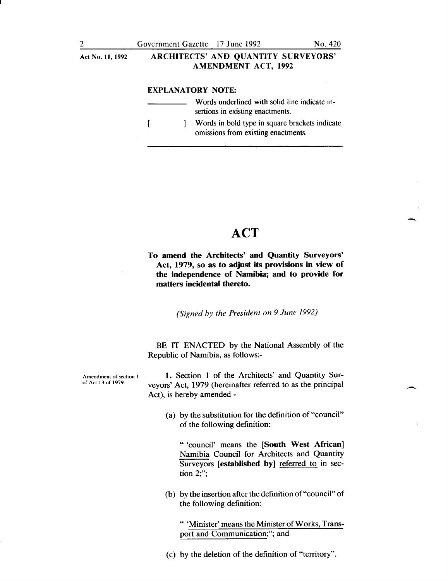### Act No. 11,1992 ARCHITECTS' AND QUANTITY SURVEYORS' AMENDMENT ACT, 1992

#### EXPLANATORY ·NOTE:

| Words underlined with solid line indicate in-<br>sertions in existing enactments.     |
|---------------------------------------------------------------------------------------|
| Words in bold type in square brackets indicate<br>omissions from existing enactments. |

### **ACT**

 $\overline{\phantom{a}}$ 

 $\overline{\phantom{a}}$ 

To amend the Architects' and Quantity Surveyors' Act, 1979, so as to adjust its provisions in view of the independence of Namibia; and to provide for matters incidental thereto.

*(Signed by the President on 9 June 1992)* 

BE IT ENACTED by the National Assembly of the Republic of Namibia, as follows:-

Amendment of section I of Act 13 of 1979.

1. Section 1 of the Architects' and Quantity Surveyors' Act, 1979 (hereinafter referred to as the principal Act), is hereby amended-

(a) by the substitution for the definition of "council" of the following definition:

" 'council' means the [South West African] Namibia Council for Architects and Quantity Surveyors [established by] referred to in section 2;";

(b) by the insertion after the definition of"council" of the following definition:

" 'Minister' means the Minister of Works, Transport and Communication;"; and

(c) by the deletion of the definition of "territory".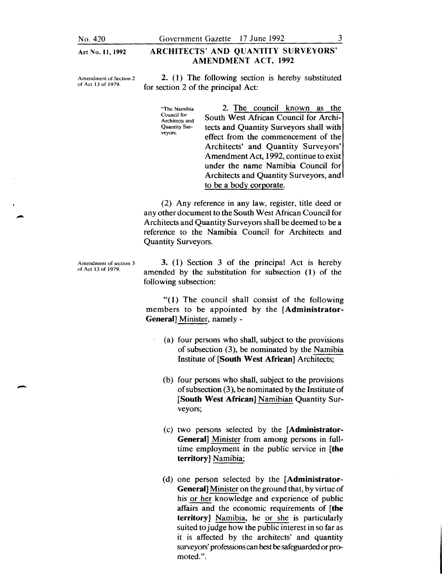Act No. II, 1992

ARCHITECTS' AND QUANTITY SURVEYORS'

#### Amendment of Section 2 of Act 13 of 1979.

2. (1) The following section is hereby substituted for section 2 of the principal Act:

AMENDMENT ACT, 1992

"The Namibia Council for Architects and Quantity Surveyors.

2. The council known as the South West African Council for Architects and Quantity Surveyors shall with effect from the commencement of the Architects' and Quantity Surveyors' Amendment Act, 1992, continue to exist under the name Namibia Council for Architects and Quantity Surveyors, and to be a body corporate.

(2) Any reference in any law, register, title deed or any other document to the South West African Council for Architects and Quantity Surveyors shall be deemed to be a reference to the Namibia Council for Architects and Quantity Surveyors.

Amendment of section 3 of Act 13 of 1979.

-

3. ( 1) Section 3 of the principal Act is hereby amended by the substitution for subsection (1) of the following subsection:

" $(1)$  The council shall consist of the following members to be appointed by the [Administrator-General] Minister, namely-

- (a) four persons who shall, subject to the provisions of subsection (3), be nominated by the Namibia Institute of [South West African] Architects;
- (b) four persons who shall, subject to the provisions of subsection (3 ), be nominated by the Institute of [South West African] Namibian Quantity Surveyors;
- (c) two persons selected by the [Administrator-General] Minister from among persons in fulltime employment in the public service in [the territory] Namibia;
- (d) one person selected by the [Administrator-General] Minister on the ground that, by virtue of his or her knowledge and experience of public affairs and the economic requirements of [the territory] Namibia, he or she is particularly suited to judge how the public interest in so far as it is affected by the architects' and quantity surveyors' professions can best be safeguarded or promoted.".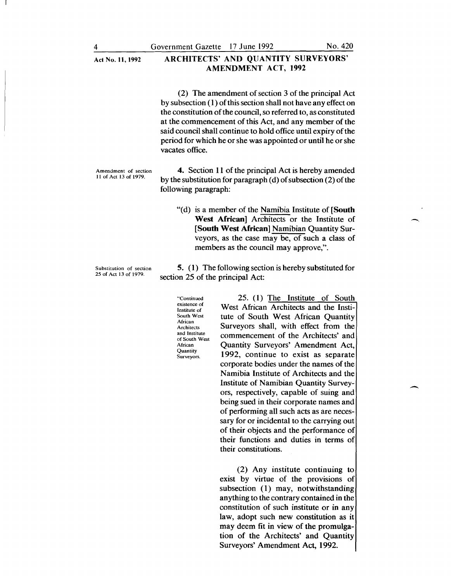#### Act No. 11,1992 ARCHITECTS' AND QUANTITY SURVEYORS' AMENDMENT ACT, 1992

(2) The amendment of section 3 of the principal Act by subsection ( 1) of this section shall not have any effect on the constitution of the council, so referred to, as constituted at the commencement of this Act, and any member of the said council shall continue to hold office until expiry of the period for which he or she was appointed or until he or she vacates office.

Amendment of section II of Act 13 of 1979.

4. Section 11 of the principal Act is hereby amended by the substitution for paragraph (d) of subsection (2) of the following paragraph:

"(d) is a member of the Namibia Institute of [South West African] Architects or the Institute of [South West African] Namibian Quantity Surveyors, as the case may be, of such a class of members as the council may approve,".

5. ( 1) The following section is hereby substituted for section 25 of the principal Act:

> "Continued existence of Institute of South West African Architects and Institute of South West African **Quantity** Surveyors.

25. ( 1) The Institute of South West African Architects and the Institute of South West African Quantity Surveyors shall, with effect from the commencement of the Architects' and Quantity Surveyors' Amendment Act, 1992, continue to exist as separate corporate bodies under the names of the Namibia Institute of Architects and the Institute of Namibian Quantity Surveyors, respectively, capable of suing and being sued in their corporate names and of performing all such acts as are necessary for or incidental to the carrying out of their objects and the performance of their functions and duties in terms of their constitutions.

(2) Any institute continuing to exist by virtue of the provisions of subsection (1) may, notwithstanding anything to the contrary contained in the constitution of such institute or in any law, adopt such new constitution as it may deem fit in view of the promulgation of the Architects' and Quantity Surveyors' Amendment Act, 1992.

Substitution of section 25 of Act 13 of 1979.

 $\overline{\phantom{a}}$